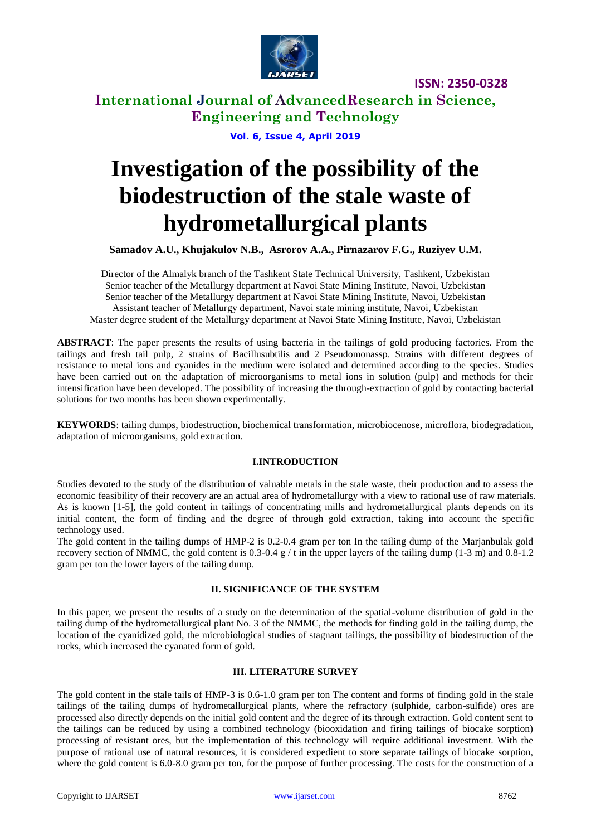

**International Journal of AdvancedResearch in Science, Engineering and Technology**

**Vol. 6, Issue 4, April 2019**

# **Investigation of the possibility of the biodestruction of the stale waste of hydrometallurgical plants**

**Samadov A.U., Khujakulov N.B., Asrorov A.A., Pirnazarov F.G., Ruziyev U.M.**

Director of the Almalyk branch of the Tashkent State Technical University, Tashkent, Uzbekistan Senior teacher of the Metallurgy department at Navoi State Mining Institute, Navoi, Uzbekistan Senior teacher of the Metallurgy department at Navoi State Mining Institute, Navoi, Uzbekistan Assistant teacher of Metallurgy department, Navoi state mining institute, Navoi, Uzbekistan Master degree student of the Metallurgy department at Navoi State Mining Institute, Navoi, Uzbekistan

**ABSTRACT**: The paper presents the results of using bacteria in the tailings of gold producing factories. From the tailings and fresh tail pulp, 2 strains of Bacillusubtilis and 2 Pseudomonassp. Strains with different degrees of resistance to metal ions and cyanides in the medium were isolated and determined according to the species. Studies have been carried out on the adaptation of microorganisms to metal ions in solution (pulp) and methods for their intensification have been developed. The possibility of increasing the through-extraction of gold by contacting bacterial solutions for two months has been shown experimentally.

**KEYWORDS**: tailing dumps, biodestruction, biochemical transformation, microbiocenose, microflora, biodegradation, adaptation of microorganisms, gold extraction.

## **I.INTRODUCTION**

Studies devoted to the study of the distribution of valuable metals in the stale waste, their production and to assess the economic feasibility of their recovery are an actual area of hydrometallurgy with a view to rational use of raw materials. As is known [1-5], the gold content in tailings of concentrating mills and hydrometallurgical plants depends on its initial content, the form of finding and the degree of through gold extraction, taking into account the specific technology used.

The gold content in the tailing dumps of HMP-2 is 0.2-0.4 gram per ton In the tailing dump of the Marjanbulak gold recovery section of NMMC, the gold content is  $0.3-0.4$  g / t in the upper layers of the tailing dump (1-3 m) and  $0.8-1.2$ gram per ton the lower layers of the tailing dump.

## **II. SIGNIFICANCE OF THE SYSTEM**

In this paper, we present the results of a study on the determination of the spatial-volume distribution of gold in the tailing dump of the hydrometallurgical plant No. 3 of the NMMC, the methods for finding gold in the tailing dump, the location of the cyanidized gold, the microbiological studies of stagnant tailings, the possibility of biodestruction of the rocks, which increased the cyanated form of gold.

### **III. LITERATURE SURVEY**

The gold content in the stale tails of HMP-3 is 0.6-1.0 gram per ton The content and forms of finding gold in the stale tailings of the tailing dumps of hydrometallurgical plants, where the refractory (sulphide, carbon-sulfide) ores are processed also directly depends on the initial gold content and the degree of its through extraction. Gold content sent to the tailings can be reduced by using a combined technology (biooxidation and firing tailings of biocake sorption) processing of resistant ores, but the implementation of this technology will require additional investment. With the purpose of rational use of natural resources, it is considered expedient to store separate tailings of biocake sorption, where the gold content is 6.0-8.0 gram per ton, for the purpose of further processing. The costs for the construction of a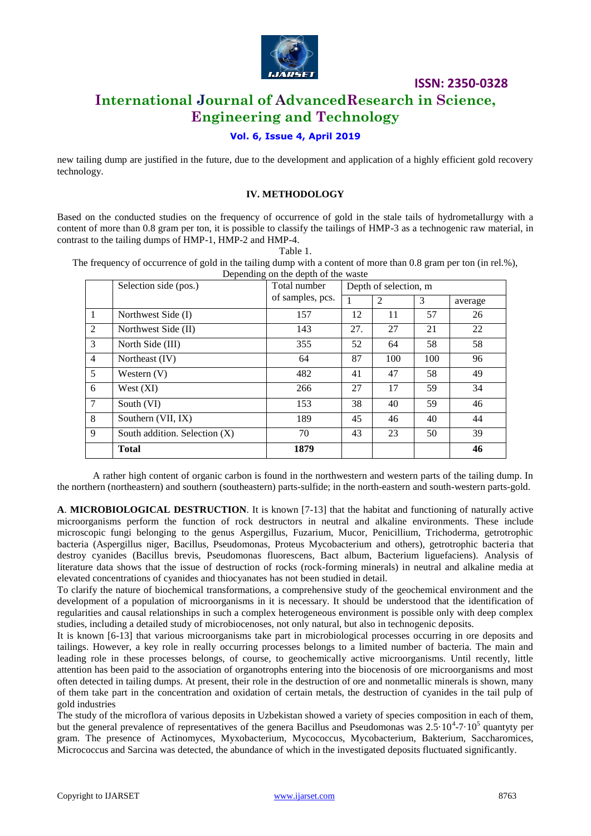

# **International Journal of AdvancedResearch in Science, Engineering and Technology**

## **Vol. 6, Issue 4, April 2019**

new tailing dump are justified in the future, due to the development and application of a highly efficient gold recovery technology.

### **IV. METHODOLOGY**

Based on the conducted studies on the frequency of occurrence of gold in the stale tails of hydrometallurgy with a content of more than 0.8 gram per ton, it is possible to classify the tailings of HMP-3 as a technogenic raw material, in contrast to the tailing dumps of HMP-1, HMP-2 and HMP-4.

Table 1.

The frequency of occurrence of gold in the tailing dump with a content of more than 0.8 gram per ton (in rel.%), Depending on the depth of the waste

|                | Selection side (pos.)           | Total number     | Depth of selection, m |                |     |         |
|----------------|---------------------------------|------------------|-----------------------|----------------|-----|---------|
|                |                                 | of samples, pcs. |                       | $\overline{2}$ | 3   | average |
| $\mathbf{1}$   | Northwest Side (I)              | 157              | 12                    | 11             | 57  | 26      |
| $\overline{2}$ | Northwest Side (II)             | 143              | 27.                   | 27             | 21  | 22      |
| 3              | North Side (III)                | 355              | 52                    | 64             | 58  | 58      |
| $\overline{4}$ | Northeast (IV)                  | 64               | 87                    | 100            | 100 | 96      |
| 5              | Western $(V)$                   | 482              | 41                    | 47             | 58  | 49      |
| 6              | West $(XI)$                     | 266              | 27                    | 17             | 59  | 34      |
| $\tau$         | South (VI)                      | 153              | 38                    | 40             | 59  | 46      |
| 8              | Southern (VII, IX)              | 189              | 45                    | 46             | 40  | 44      |
| 9              | South addition. Selection $(X)$ | 70               | 43                    | 23             | 50  | 39      |
|                | <b>Total</b>                    | 1879             |                       |                |     | 46      |

A rather high content of organic carbon is found in the northwestern and western parts of the tailing dump. In the northern (northeastern) and southern (southeastern) parts-sulfide; in the north-eastern and south-western parts-gold.

**A**. **MICROBIOLOGICAL DESTRUCTION**. It is known [7-13] that the habitat and functioning of naturally active microorganisms perform the function of rock destructors in neutral and alkaline environments. These include microscopic fungi belonging to the genus Aspergillus, Fuzarium, Mucor, Penicillium, Trichoderma, getrotrophic bacteria (Aspergillus niger, Bacillus, Pseudomonas, Proteus Mycobacterium and others), getrotrophic bacteria that destroy cyanides (Bacillus brevis, Pseudomonas fluorescens, Bact album, Bacterium liguefaciens). Analysis of literature data shows that the issue of destruction of rocks (rock-forming minerals) in neutral and alkaline media at elevated concentrations of cyanides and thiocyanates has not been studied in detail.

To clarify the nature of biochemical transformations, a comprehensive study of the geochemical environment and the development of a population of microorganisms in it is necessary. It should be understood that the identification of regularities and causal relationships in such a complex heterogeneous environment is possible only with deep complex studies, including a detailed study of microbiocenoses, not only natural, but also in technogenic deposits.

It is known [6-13] that various microorganisms take part in microbiological processes occurring in ore deposits and tailings. However, a key role in really occurring processes belongs to a limited number of bacteria. The main and leading role in these processes belongs, of course, to geochemically active microorganisms. Until recently, little attention has been paid to the association of organotrophs entering into the biocenosis of ore microorganisms and most often detected in tailing dumps. At present, their role in the destruction of ore and nonmetallic minerals is shown, many of them take part in the concentration and oxidation of certain metals, the destruction of cyanides in the tail pulp of gold industries

The study of the microflora of various deposits in Uzbekistan showed a variety of species composition in each of them, but the general prevalence of representatives of the genera Bacillus and Pseudomonas was  $2.5 \cdot 10^4$ -7 $\cdot 10^5$  quantyty per gram. The presence of Actinomyces, Myxobacterium, Mycococcus, Mycobacterium, Bakterium, Saccharomices, Micrococcus and Sarcina was detected, the abundance of which in the investigated deposits fluctuated significantly.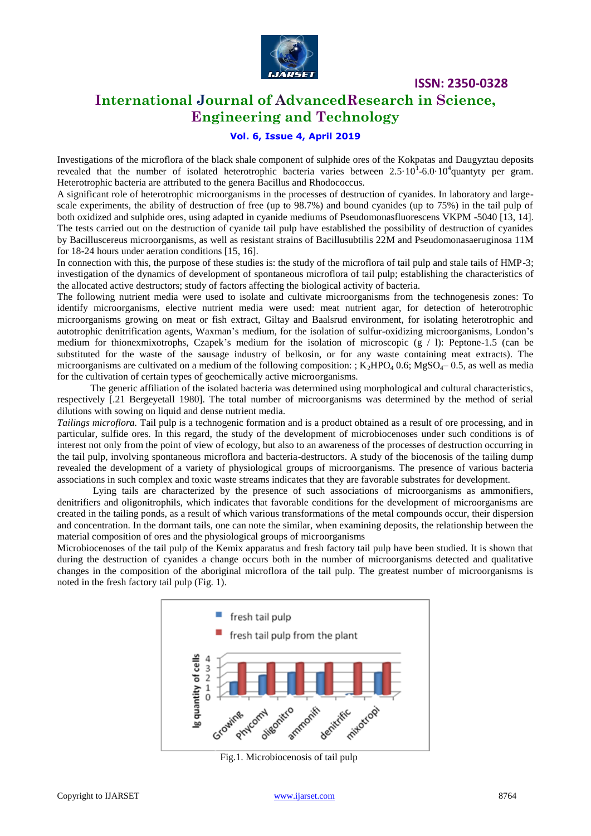

# **International Journal of AdvancedResearch in Science, Engineering and Technology**

## **Vol. 6, Issue 4, April 2019**

Investigations of the microflora of the black shale component of sulphide ores of the Kokpatas and Daugyztau deposits revealed that the number of isolated heterotrophic bacteria varies between  $2.5 \cdot 10^{1}$ -6.0 $\cdot 10^{4}$ quantyty per gram. Heterotrophic bacteria are attributed to the genera Bacillus and Rhodococcus.

A significant role of heterotrophic microorganisms in the processes of destruction of cyanides. In laboratory and largescale experiments, the ability of destruction of free (up to 98.7%) and bound cyanides (up to 75%) in the tail pulp of both oxidized and sulphide ores, using adapted in cyanide mediums of Pseudomonasfluorescens VKPM -5040 [13, 14]. The tests carried out on the destruction of cyanide tail pulp have established the possibility of destruction of cyanides by Bacilluscereus microorganisms, as well as resistant strains of Bacillusubtilis 22M and Pseudomonasaeruginosa 11M for 18-24 hours under aeration conditions [15, 16].

In connection with this, the purpose of these studies is: the study of the microflora of tail pulp and stale tails of HMP-3; investigation of the dynamics of development of spontaneous microflora of tail pulp; establishing the characteristics of the allocated active destructors; study of factors affecting the biological activity of bacteria.

The following nutrient media were used to isolate and cultivate microorganisms from the technogenesis zones: To identify microorganisms, elective nutrient media were used: meat nutrient agar, for detection of heterotrophic microorganisms growing on meat or fish extract, Giltay and Baalsrud environment, for isolating heterotrophic and autotrophic denitrification agents, Waxman's medium, for the isolation of sulfur-oxidizing microorganisms, London's medium for thionexmixotrophs, Czapek's medium for the isolation of microscopic  $(g / 1)$ : Peptone-1.5 (can be substituted for the waste of the sausage industry of belkosin, or for any waste containing meat extracts). The microorganisms are cultivated on a medium of the following composition: ; K<sub>2</sub>HPO<sub>4</sub> 0.6; MgSO<sub>4</sub>– 0.5, as well as media for the cultivation of certain types of geochemically active microorganisms.

The generic affiliation of the isolated bacteria was determined using morphological and cultural characteristics, respectively [.21 Bergeyetall 1980]. The total number of microorganisms was determined by the method of serial dilutions with sowing on liquid and dense nutrient media.

*Tailings microflora.* Tail pulp is a technogenic formation and is a product obtained as a result of ore processing, and in particular, sulfide ores. In this regard, the study of the development of microbiocenoses under such conditions is of interest not only from the point of view of ecology, but also to an awareness of the processes of destruction occurring in the tail pulp, involving spontaneous microflora and bacteria-destructors. A study of the biocenosis of the tailing dump revealed the development of a variety of physiological groups of microorganisms. The presence of various bacteria associations in such complex and toxic waste streams indicates that they are favorable substrates for development.

Lying tails are characterized by the presence of such associations of microorganisms as ammonifiers, denitrifiers and oligonitrophils, which indicates that favorable conditions for the development of microorganisms are created in the tailing ponds, as a result of which various transformations of the metal compounds occur, their dispersion and concentration. In the dormant tails, one can note the similar, when examining deposits, the relationship between the material composition of ores and the physiological groups of microorganisms

Microbiocenoses of the tail pulp of the Kemix apparatus and fresh factory tail pulp have been studied. It is shown that during the destruction of cyanides a change occurs both in the number of microorganisms detected and qualitative changes in the composition of the aboriginal microflora of the tail pulp. The greatest number of microorganisms is noted in the fresh factory tail pulp (Fig. 1).



Fig.1. Microbiocenosis of tail pulp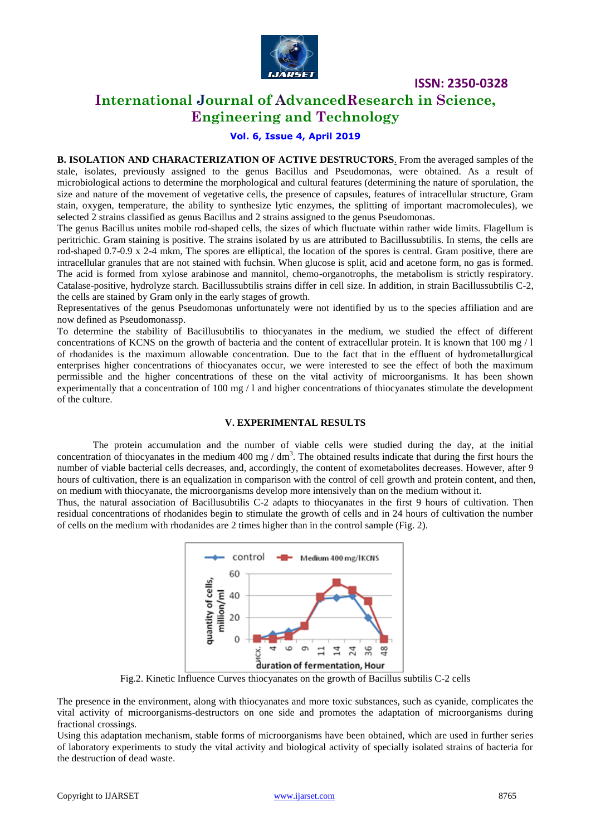

# **International Journal of AdvancedResearch in Science, Engineering and Technology**

## **Vol. 6, Issue 4, April 2019**

**B. ISOLATION AND CHARACTERIZATION OF ACTIVE DESTRUCTORS***.* From the averaged samples of the stale, isolates, previously assigned to the genus Bacillus and Pseudomonas, were obtained. As a result of microbiological actions to determine the morphological and cultural features (determining the nature of sporulation, the size and nature of the movement of vegetative cells, the presence of capsules, features of intracellular structure, Gram stain, oxygen, temperature, the ability to synthesize lytic enzymes, the splitting of important macromolecules), we selected 2 strains classified as genus Bacillus and 2 strains assigned to the genus Pseudomonas.

The genus Bacillus unites mobile rod-shaped cells, the sizes of which fluctuate within rather wide limits. Flagellum is peritrichic. Gram staining is positive. The strains isolated by us are attributed to Bacillussubtilis. In stems, the cells are rod-shaped 0.7-0.9 x 2-4 mkm, The spores are elliptical, the location of the spores is central. Gram positive, there are intracellular granules that are not stained with fuchsin. When glucose is split, acid and acetone form, no gas is formed. The acid is formed from xylose arabinose and mannitol, chemo-organotrophs, the metabolism is strictly respiratory. Catalase-positive, hydrolyze starch. Bacillussubtilis strains differ in cell size. In addition, in strain Bacillussubtilis C-2, the cells are stained by Gram only in the early stages of growth.

Representatives of the genus Pseudomonas unfortunately were not identified by us to the species affiliation and are now defined as Pseudomonassp.

To determine the stability of Bacillusubtilis to thiocyanates in the medium, we studied the effect of different concentrations of KCNS on the growth of bacteria and the content of extracellular protein. It is known that  $100 \text{ mg}/1$ of rhodanides is the maximum allowable concentration. Due to the fact that in the effluent of hydrometallurgical enterprises higher concentrations of thiocyanates occur, we were interested to see the effect of both the maximum permissible and the higher concentrations of these on the vital activity of microorganisms. It has been shown experimentally that a concentration of 100 mg / l and higher concentrations of thiocyanates stimulate the development of the culture.

#### **V. EXPERIMENTAL RESULTS**

The protein accumulation and the number of viable cells were studied during the day, at the initial concentration of thiocyanates in the medium 400 mg /  $dm<sup>3</sup>$ . The obtained results indicate that during the first hours the number of viable bacterial cells decreases, and, accordingly, the content of exometabolites decreases. However, after 9 hours of cultivation, there is an equalization in comparison with the control of cell growth and protein content, and then, on medium with thiocyanate, the microorganisms develop more intensively than on the medium without it.

Thus, the natural association of Bacillusubtilis C-2 adapts to thiocyanates in the first 9 hours of cultivation. Then residual concentrations of rhodanides begin to stimulate the growth of cells and in 24 hours of cultivation the number of cells on the medium with rhodanides are 2 times higher than in the control sample (Fig. 2).



The presence in the environment, along with thiocyanates and more toxic substances, such as cyanide, complicates the vital activity of microorganisms-destructors on one side and promotes the adaptation of microorganisms during fractional crossings.

Using this adaptation mechanism, stable forms of microorganisms have been obtained, which are used in further series of laboratory experiments to study the vital activity and biological activity of specially isolated strains of bacteria for the destruction of dead waste.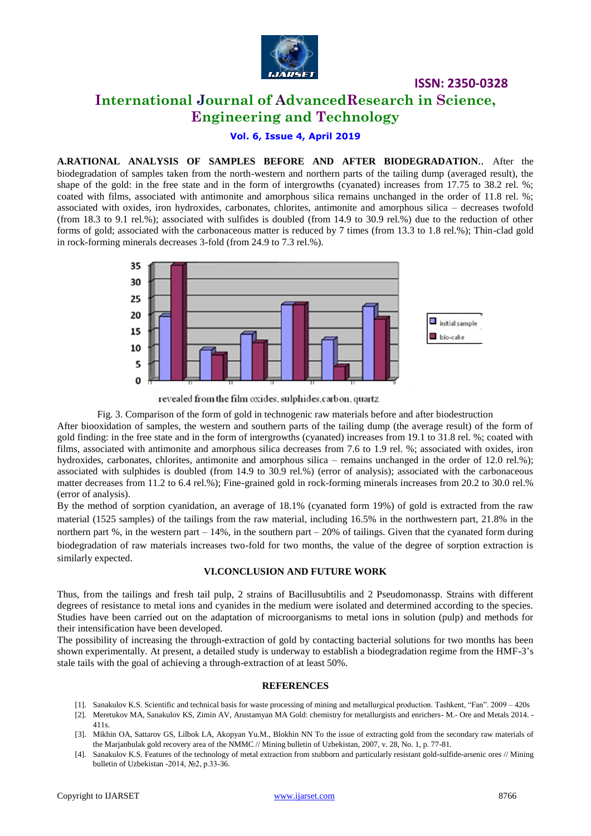

**International Journal of AdvancedResearch in Science, Engineering and Technology**

**Vol. 6, Issue 4, April 2019**

**A.RATIONAL ANALYSIS OF SAMPLES BEFORE AND AFTER BIODEGRADATION**.. After the biodegradation of samples taken from the north-western and northern parts of the tailing dump (averaged result), the shape of the gold: in the free state and in the form of intergrowths (cyanated) increases from 17.75 to 38.2 rel. %; coated with films, associated with antimonite and amorphous silica remains unchanged in the order of 11.8 rel. %; associated with oxides, iron hydroxides, carbonates, chlorites, antimonite and amorphous silica – decreases twofold (from 18.3 to 9.1 rel.%); associated with sulfides is doubled (from 14.9 to 30.9 rel.%) due to the reduction of other forms of gold; associated with the carbonaceous matter is reduced by 7 times (from 13.3 to 1.8 rel.%); Thin-clad gold in rock-forming minerals decreases 3-fold (from 24.9 to 7.3 rel.%).



revealed from the film oxides, sulphides, carbon, quartz

Fig. 3. Comparison of the form of gold in technogenic raw materials before and after biodestruction

After biooxidation of samples, the western and southern parts of the tailing dump (the average result) of the form of gold finding: in the free state and in the form of intergrowths (cyanated) increases from 19.1 to 31.8 rel. %; coated with films, associated with antimonite and amorphous silica decreases from 7.6 to 1.9 rel. %; associated with oxides, iron hydroxides, carbonates, chlorites, antimonite and amorphous silica – remains unchanged in the order of 12.0 rel.%); associated with sulphides is doubled (from 14.9 to 30.9 rel.%) (error of analysis); associated with the carbonaceous matter decreases from 11.2 to 6.4 rel.%); Fine-grained gold in rock-forming minerals increases from 20.2 to 30.0 rel.% (error of analysis).

By the method of sorption cyanidation, an average of 18.1% (cyanated form 19%) of gold is extracted from the raw material (1525 samples) of the tailings from the raw material, including 16.5% in the northwestern part, 21.8% in the northern part %, in the western part  $-14\%$ , in the southern part  $-20\%$  of tailings. Given that the cyanated form during biodegradation of raw materials increases two-fold for two months, the value of the degree of sorption extraction is similarly expected.

### **VI.CONCLUSION AND FUTURE WORK**

Thus, from the tailings and fresh tail pulp, 2 strains of Bacillusubtilis and 2 Pseudomonassp. Strains with different degrees of resistance to metal ions and cyanides in the medium were isolated and determined according to the species. Studies have been carried out on the adaptation of microorganisms to metal ions in solution (pulp) and methods for their intensification have been developed.

The possibility of increasing the through-extraction of gold by contacting bacterial solutions for two months has been shown experimentally. At present, a detailed study is underway to establish a biodegradation regime from the HMF-3's stale tails with the goal of achieving a through-extraction of at least 50%.

#### **REFERENCES**

- [1]. Sanakulov K.S. Scientific and technical basis for waste processing of mining and metallurgical production. Tashkent, "Fan". 2009 420s
- [2]. Meretukov MA, Sanakulov KS, Zimin AV, Arustamyan MA Gold: chemistry for metallurgists and enrichers- M.- Ore and Metals 2014. 411s.
- [3]. Mikhin OA, Sattarov GS, Lilbok LA, Akopyan Yu.M., Blokhin NN To the issue of extracting gold from the secondary raw materials of the Marjanbulak gold recovery area of the NMMC // Mining bulletin of Uzbekistan, 2007, v. 28, No. 1, p. 77-81.
- [4]. Sanakulov K.S. Features of the technology of metal extraction from stubborn and particularly resistant gold-sulfide-arsenic ores // Mining bulletin of Uzbekistan -2014, №2, p.33-36.